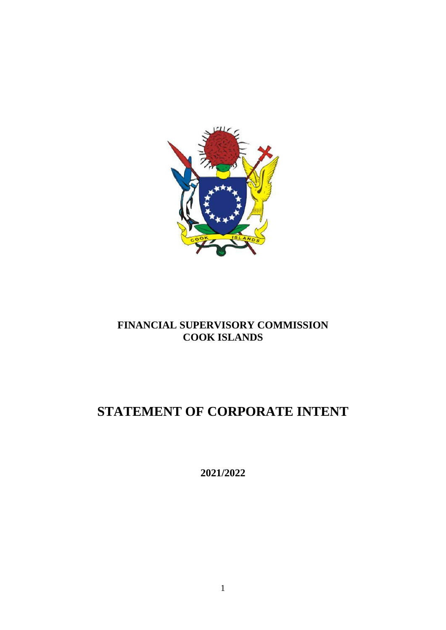

### **FINANCIAL SUPERVISORY COMMISSION COOK ISLANDS**

# **STATEMENT OF CORPORATE INTENT**

**2021/2022**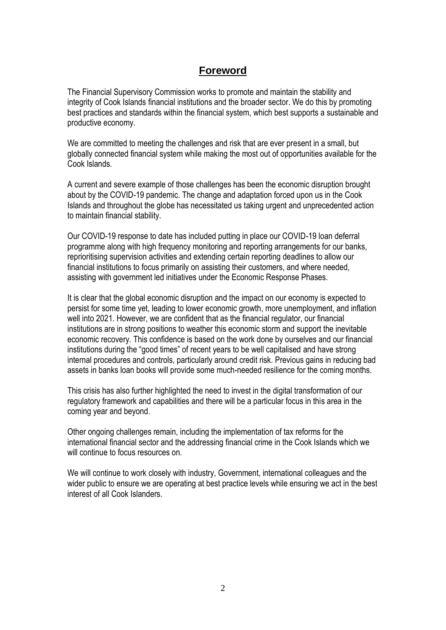### **Foreword**

The Financial Supervisory Commission works to promote and maintain the stability and integrity of Cook Islands financial institutions and the broader sector. We do this by promoting best practices and standards within the financial system, which best supports a sustainable and productive economy.

We are committed to meeting the challenges and risk that are ever present in a small, but globally connected financial system while making the most out of opportunities available for the Cook Islands.

A current and severe example of those challenges has been the economic disruption brought about by the COVID-19 pandemic. The change and adaptation forced upon us in the Cook Islands and throughout the globe has necessitated us taking urgent and unprecedented action to maintain financial stability.

Our COVID-19 response to date has included putting in place our COVID-19 loan deferral programme along with high frequency monitoring and reporting arrangements for our banks, reprioritising supervision activities and extending certain reporting deadlines to allow our financial institutions to focus primarily on assisting their customers, and where needed, assisting with government led initiatives under the Economic Response Phases.

It is clear that the global economic disruption and the impact on our economy is expected to persist for some time yet, leading to lower economic growth, more unemployment, and inflation well into 2021. However, we are confident that as the financial regulator, our financial institutions are in strong positions to weather this economic storm and support the inevitable economic recovery. This confidence is based on the work done by ourselves and our financial institutions during the "good times" of recent years to be well capitalised and have strong internal procedures and controls, particularly around credit risk. Previous gains in reducing bad assets in banks loan books will provide some much-needed resilience for the coming months.

This crisis has also further highlighted the need to invest in the digital transformation of our regulatory framework and capabilities and there will be a particular focus in this area in the coming year and beyond.

Other ongoing challenges remain, including the implementation of tax reforms for the international financial sector and the addressing financial crime in the Cook Islands which we will continue to focus resources on.

We will continue to work closely with industry, Government, international colleagues and the wider public to ensure we are operating at best practice levels while ensuring we act in the best interest of all Cook Islanders.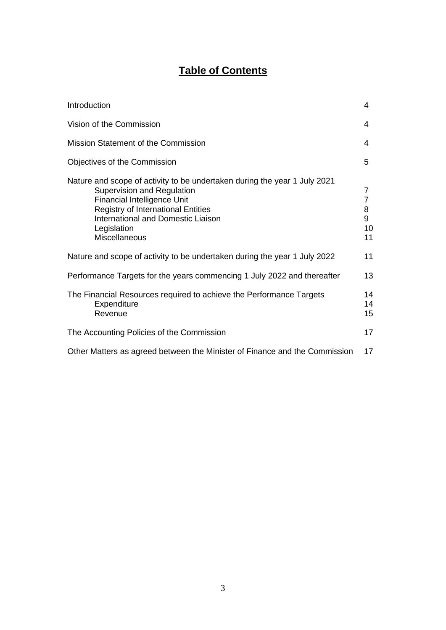## **Table of Contents**

| Introduction                                                                                                                                                                                                                                                                   | 4                                         |
|--------------------------------------------------------------------------------------------------------------------------------------------------------------------------------------------------------------------------------------------------------------------------------|-------------------------------------------|
| Vision of the Commission                                                                                                                                                                                                                                                       | 4                                         |
| Mission Statement of the Commission                                                                                                                                                                                                                                            | 4                                         |
| Objectives of the Commission                                                                                                                                                                                                                                                   | 5                                         |
| Nature and scope of activity to be undertaken during the year 1 July 2021<br>Supervision and Regulation<br><b>Financial Intelligence Unit</b><br><b>Registry of International Entities</b><br><b>International and Domestic Liaison</b><br>Legislation<br><b>Miscellaneous</b> | 7<br>$\overline{7}$<br>8<br>9<br>10<br>11 |
| Nature and scope of activity to be undertaken during the year 1 July 2022                                                                                                                                                                                                      | 11                                        |
| Performance Targets for the years commencing 1 July 2022 and thereafter                                                                                                                                                                                                        | 13                                        |
| The Financial Resources required to achieve the Performance Targets<br>Expenditure<br>Revenue                                                                                                                                                                                  | 14<br>14<br>15                            |
| The Accounting Policies of the Commission                                                                                                                                                                                                                                      | 17                                        |
| Other Matters as agreed between the Minister of Finance and the Commission                                                                                                                                                                                                     | 17                                        |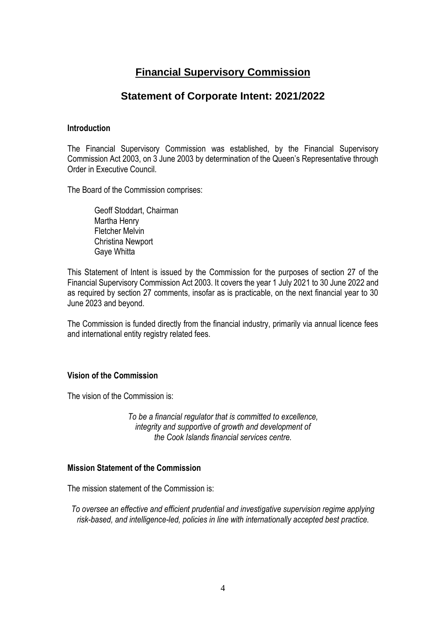### **Financial Supervisory Commission**

### **Statement of Corporate Intent: 2021/2022**

#### **Introduction**

The Financial Supervisory Commission was established, by the Financial Supervisory Commission Act 2003, on 3 June 2003 by determination of the Queen's Representative through Order in Executive Council.

The Board of the Commission comprises:

Geoff Stoddart, Chairman Martha Henry Fletcher Melvin Christina Newport Gaye Whitta

This Statement of Intent is issued by the Commission for the purposes of section 27 of the Financial Supervisory Commission Act 2003. It covers the year 1 July 2021 to 30 June 2022 and as required by section 27 comments, insofar as is practicable, on the next financial year to 30 June 2023 and beyond.

The Commission is funded directly from the financial industry, primarily via annual licence fees and international entity registry related fees.

#### **Vision of the Commission**

The vision of the Commission is:

*To be a financial regulator that is committed to excellence, integrity and supportive of growth and development of the Cook Islands financial services centre.*

#### **Mission Statement of the Commission**

The mission statement of the Commission is:

*To oversee an effective and efficient prudential and investigative supervision regime applying risk-based, and intelligence-led, policies in line with internationally accepted best practice.*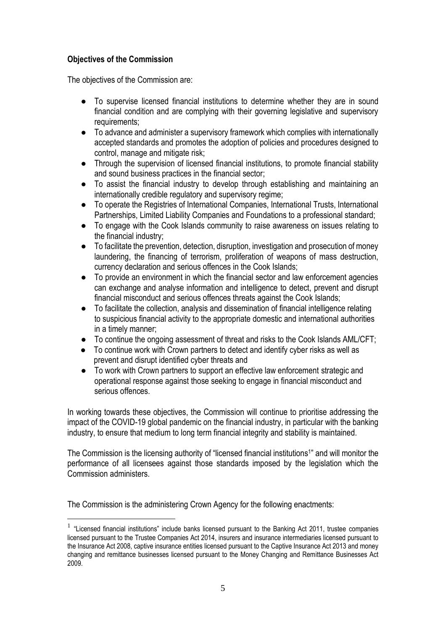### **Objectives of the Commission**

The objectives of the Commission are:

- To supervise licensed financial institutions to determine whether they are in sound financial condition and are complying with their governing legislative and supervisory requirements;
- To advance and administer a supervisory framework which complies with internationally accepted standards and promotes the adoption of policies and procedures designed to control, manage and mitigate risk;
- Through the supervision of licensed financial institutions, to promote financial stability and sound business practices in the financial sector;
- To assist the financial industry to develop through establishing and maintaining an internationally credible regulatory and supervisory regime;
- To operate the Registries of International Companies, International Trusts, International Partnerships, Limited Liability Companies and Foundations to a professional standard;
- To engage with the Cook Islands community to raise awareness on issues relating to the financial industry;
- To facilitate the prevention, detection, disruption, investigation and prosecution of money laundering, the financing of terrorism, proliferation of weapons of mass destruction, currency declaration and serious offences in the Cook Islands;
- To provide an environment in which the financial sector and law enforcement agencies can exchange and analyse information and intelligence to detect, prevent and disrupt financial misconduct and serious offences threats against the Cook Islands;
- To facilitate the collection, analysis and dissemination of financial intelligence relating to suspicious financial activity to the appropriate domestic and international authorities in a timely manner;
- To continue the ongoing assessment of threat and risks to the Cook Islands AML/CFT;
- To continue work with Crown partners to detect and identify cyber risks as well as prevent and disrupt identified cyber threats and
- To work with Crown partners to support an effective law enforcement strategic and operational response against those seeking to engage in financial misconduct and serious offences

In working towards these objectives, the Commission will continue to prioritise addressing the impact of the COVID-19 global pandemic on the financial industry, in particular with the banking industry, to ensure that medium to long term financial integrity and stability is maintained.

The Commission is the licensing authority of "licensed financial institutions<sup>1</sup>" and will monitor the performance of all licensees against those standards imposed by the legislation which the Commission administers.

The Commission is the administering Crown Agency for the following enactments:

<sup>&</sup>lt;sup>1</sup> "Licensed financial institutions" include banks licensed pursuant to the Banking Act 2011, trustee companies licensed pursuant to the Trustee Companies Act 2014, insurers and insurance intermediaries licensed pursuant to the Insurance Act 2008, captive insurance entities licensed pursuant to the Captive Insurance Act 2013 and money changing and remittance businesses licensed pursuant to the Money Changing and Remittance Businesses Act 2009.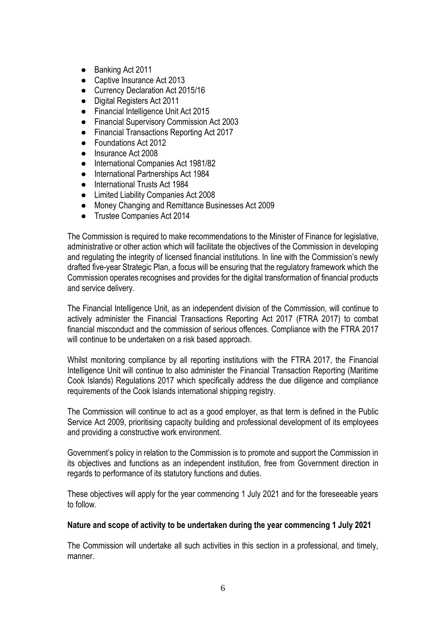- Banking Act 2011
- Captive Insurance Act 2013
- Currency Declaration Act 2015/16
- Digital Registers Act 2011
- Financial Intelligence Unit Act 2015
- Financial Supervisory Commission Act 2003
- Financial Transactions Reporting Act 2017
- Foundations Act 2012
- Insurance Act 2008
- International Companies Act 1981/82
- International Partnerships Act 1984
- International Trusts Act 1984
- Limited Liability Companies Act 2008
- Money Changing and Remittance Businesses Act 2009
- Trustee Companies Act 2014

The Commission is required to make recommendations to the Minister of Finance for legislative, administrative or other action which will facilitate the objectives of the Commission in developing and regulating the integrity of licensed financial institutions. In line with the Commission's newly drafted five-year Strategic Plan, a focus will be ensuring that the regulatory framework which the Commission operates recognises and provides for the digital transformation of financial products and service delivery.

The Financial Intelligence Unit, as an independent division of the Commission, will continue to actively administer the Financial Transactions Reporting Act 2017 (FTRA 2017) to combat financial misconduct and the commission of serious offences. Compliance with the FTRA 2017 will continue to be undertaken on a risk based approach.

Whilst monitoring compliance by all reporting institutions with the FTRA 2017, the Financial Intelligence Unit will continue to also administer the Financial Transaction Reporting (Maritime Cook Islands) Regulations 2017 which specifically address the due diligence and compliance requirements of the Cook Islands international shipping registry.

The Commission will continue to act as a good employer, as that term is defined in the Public Service Act 2009, prioritising capacity building and professional development of its employees and providing a constructive work environment.

Government's policy in relation to the Commission is to promote and support the Commission in its objectives and functions as an independent institution, free from Government direction in regards to performance of its statutory functions and duties.

These objectives will apply for the year commencing 1 July 2021 and for the foreseeable years to follow.

#### **Nature and scope of activity to be undertaken during the year commencing 1 July 2021**

The Commission will undertake all such activities in this section in a professional, and timely, manner.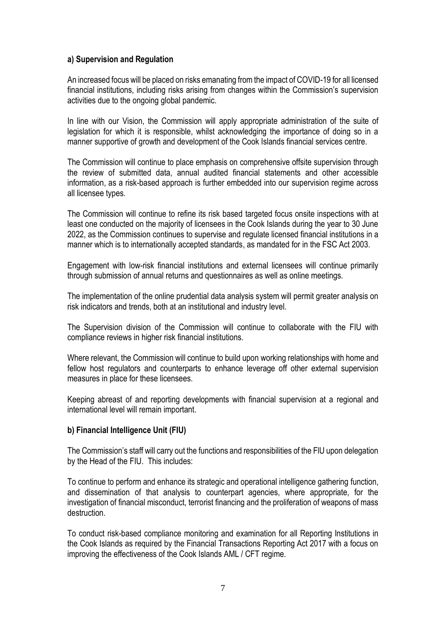#### **a) Supervision and Regulation**

An increased focus will be placed on risks emanating from the impact of COVID-19 for all licensed financial institutions, including risks arising from changes within the Commission's supervision activities due to the ongoing global pandemic.

In line with our Vision, the Commission will apply appropriate administration of the suite of legislation for which it is responsible, whilst acknowledging the importance of doing so in a manner supportive of growth and development of the Cook Islands financial services centre.

The Commission will continue to place emphasis on comprehensive offsite supervision through the review of submitted data, annual audited financial statements and other accessible information, as a risk-based approach is further embedded into our supervision regime across all licensee types.

The Commission will continue to refine its risk based targeted focus onsite inspections with at least one conducted on the majority of licensees in the Cook Islands during the year to 30 June 2022, as the Commission continues to supervise and regulate licensed financial institutions in a manner which is to internationally accepted standards, as mandated for in the FSC Act 2003.

Engagement with low-risk financial institutions and external licensees will continue primarily through submission of annual returns and questionnaires as well as online meetings.

The implementation of the online prudential data analysis system will permit greater analysis on risk indicators and trends, both at an institutional and industry level.

The Supervision division of the Commission will continue to collaborate with the FIU with compliance reviews in higher risk financial institutions.

Where relevant, the Commission will continue to build upon working relationships with home and fellow host regulators and counterparts to enhance leverage off other external supervision measures in place for these licensees.

Keeping abreast of and reporting developments with financial supervision at a regional and international level will remain important.

#### **b) Financial Intelligence Unit (FIU)**

The Commission's staff will carry out the functions and responsibilities of the FlU upon delegation by the Head of the FIU. This includes:

To continue to perform and enhance its strategic and operational intelligence gathering function, and dissemination of that analysis to counterpart agencies, where appropriate, for the investigation of financial misconduct, terrorist financing and the proliferation of weapons of mass destruction.

To conduct risk-based compliance monitoring and examination for all Reporting Institutions in the Cook Islands as required by the Financial Transactions Reporting Act 2017 with a focus on improving the effectiveness of the Cook Islands AML / CFT regime.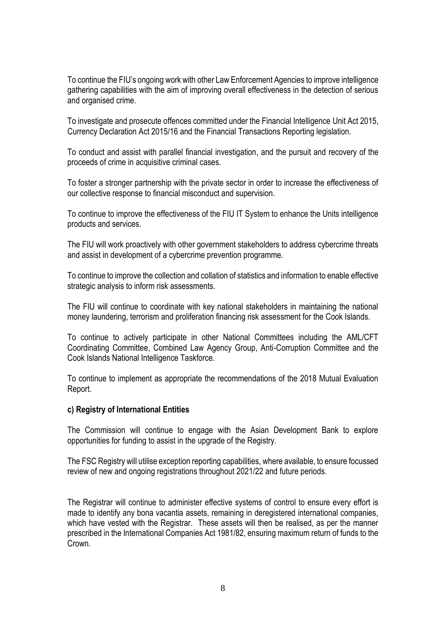To continue the FIU's ongoing work with other Law Enforcement Agencies to improve intelligence gathering capabilities with the aim of improving overall effectiveness in the detection of serious and organised crime.

To investigate and prosecute offences committed under the Financial Intelligence Unit Act 2015, Currency Declaration Act 2015/16 and the Financial Transactions Reporting legislation.

To conduct and assist with parallel financial investigation, and the pursuit and recovery of the proceeds of crime in acquisitive criminal cases.

To foster a stronger partnership with the private sector in order to increase the effectiveness of our collective response to financial misconduct and supervision.

To continue to improve the effectiveness of the FIU IT System to enhance the Units intelligence products and services.

The FIU will work proactively with other government stakeholders to address cybercrime threats and assist in development of a cybercrime prevention programme.

To continue to improve the collection and collation of statistics and information to enable effective strategic analysis to inform risk assessments.

The FIU will continue to coordinate with key national stakeholders in maintaining the national money laundering, terrorism and proliferation financing risk assessment for the Cook Islands.

To continue to actively participate in other National Committees including the AML/CFT Coordinating Committee, Combined Law Agency Group, Anti-Corruption Committee and the Cook Islands National Intelligence Taskforce.

To continue to implement as appropriate the recommendations of the 2018 Mutual Evaluation Report.

#### **c) Registry of International Entities**

The Commission will continue to engage with the Asian Development Bank to explore opportunities for funding to assist in the upgrade of the Registry.

The FSC Registry will utilise exception reporting capabilities, where available, to ensure focussed review of new and ongoing registrations throughout 2021/22 and future periods.

The Registrar will continue to administer effective systems of control to ensure every effort is made to identify any bona vacantia assets, remaining in deregistered international companies, which have vested with the Registrar. These assets will then be realised, as per the manner prescribed in the International Companies Act 1981/82, ensuring maximum return of funds to the Crown.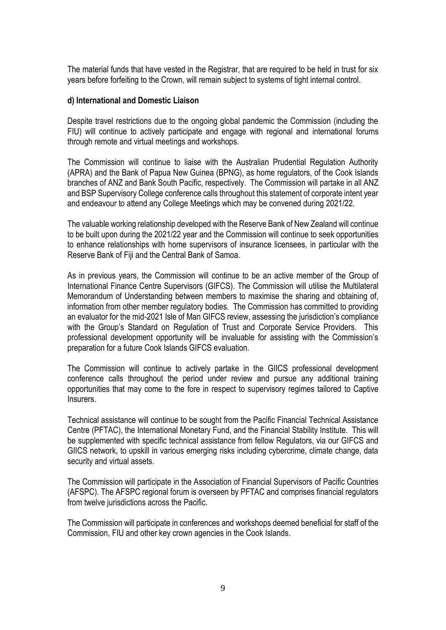The material funds that have vested in the Registrar, that are required to be held in trust for six years before forfeiting to the Crown, will remain subject to systems of tight internal control.

#### **d) International and Domestic Liaison**

Despite travel restrictions due to the ongoing global pandemic the Commission (including the FIU) will continue to actively participate and engage with regional and international forums through remote and virtual meetings and workshops.

The Commission will continue to liaise with the Australian Prudential Regulation Authority (APRA) and the Bank of Papua New Guinea (BPNG), as home regulators, of the Cook Islands branches of ANZ and Bank South Pacific, respectively. The Commission will partake in all ANZ and BSP Supervisory College conference calls throughout this statement of corporate intent year and endeavour to attend any College Meetings which may be convened during 2021/22.

The valuable working relationship developed with the Reserve Bank of New Zealand will continue to be built upon during the 2021/22 year and the Commission will continue to seek opportunities to enhance relationships with home supervisors of insurance licensees, in particular with the Reserve Bank of Fiji and the Central Bank of Samoa.

As in previous years, the Commission will continue to be an active member of the Group of International Finance Centre Supervisors (GIFCS). The Commission will utilise the Multilateral Memorandum of Understanding between members to maximise the sharing and obtaining of, information from other member regulatory bodies. The Commission has committed to providing an evaluator for the mid-2021 Isle of Man GIFCS review, assessing the jurisdiction's compliance with the Group's Standard on Regulation of Trust and Corporate Service Providers. This professional development opportunity will be invaluable for assisting with the Commission's preparation for a future Cook Islands GIFCS evaluation.

The Commission will continue to actively partake in the GIICS professional development conference calls throughout the period under review and pursue any additional training opportunities that may come to the fore in respect to supervisory regimes tailored to Captive **Insurers** 

Technical assistance will continue to be sought from the Pacific Financial Technical Assistance Centre (PFTAC), the International Monetary Fund, and the Financial Stability Institute. This will be supplemented with specific technical assistance from fellow Regulators, via our GIFCS and GIICS network, to upskill in various emerging risks including cybercrime, climate change, data security and virtual assets.

The Commission will participate in the Association of Financial Supervisors of Pacific Countries (AFSPC). The AFSPC regional forum is overseen by PFTAC and comprises financial regulators from twelve jurisdictions across the Pacific.

The Commission will participate in conferences and workshops deemed beneficial for staff of the Commission, FIU and other key crown agencies in the Cook Islands.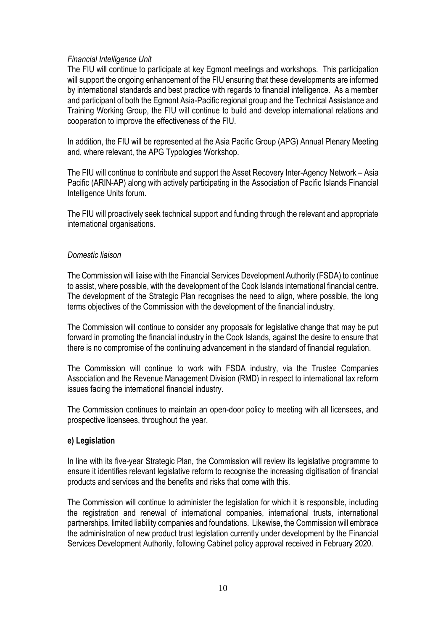#### *Financial Intelligence Unit*

The FIU will continue to participate at key Egmont meetings and workshops. This participation will support the ongoing enhancement of the FIU ensuring that these developments are informed by international standards and best practice with regards to financial intelligence. As a member and participant of both the Egmont Asia-Pacific regional group and the Technical Assistance and Training Working Group, the FIU will continue to build and develop international relations and cooperation to improve the effectiveness of the FIU.

In addition, the FIU will be represented at the Asia Pacific Group (APG) Annual Plenary Meeting and, where relevant, the APG Typologies Workshop.

The FIU will continue to contribute and support the Asset Recovery Inter-Agency Network – Asia Pacific (ARIN-AP) along with actively participating in the Association of Pacific Islands Financial Intelligence Units forum.

The FIU will proactively seek technical support and funding through the relevant and appropriate international organisations.

#### *Domestic liaison*

The Commission will liaise with the Financial Services Development Authority (FSDA) to continue to assist, where possible, with the development of the Cook Islands international financial centre. The development of the Strategic Plan recognises the need to align, where possible, the long terms objectives of the Commission with the development of the financial industry.

The Commission will continue to consider any proposals for legislative change that may be put forward in promoting the financial industry in the Cook Islands, against the desire to ensure that there is no compromise of the continuing advancement in the standard of financial regulation.

The Commission will continue to work with FSDA industry, via the Trustee Companies Association and the Revenue Management Division (RMD) in respect to international tax reform issues facing the international financial industry.

The Commission continues to maintain an open-door policy to meeting with all licensees, and prospective licensees, throughout the year.

#### **e) Legislation**

In line with its five-year Strategic Plan, the Commission will review its legislative programme to ensure it identifies relevant legislative reform to recognise the increasing digitisation of financial products and services and the benefits and risks that come with this.

The Commission will continue to administer the legislation for which it is responsible, including the registration and renewal of international companies, international trusts, international partnerships, limited liability companies and foundations. Likewise, the Commission will embrace the administration of new product trust legislation currently under development by the Financial Services Development Authority, following Cabinet policy approval received in February 2020.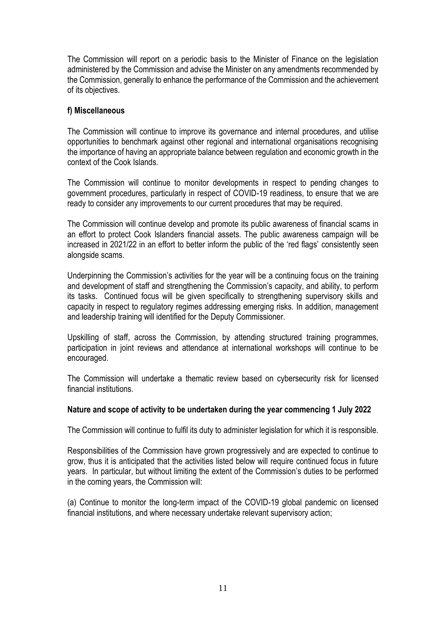The Commission will report on a periodic basis to the Minister of Finance on the legislation administered by the Commission and advise the Minister on any amendments recommended by the Commission, generally to enhance the performance of the Commission and the achievement of its objectives.

#### **f) Miscellaneous**

The Commission will continue to improve its governance and internal procedures, and utilise opportunities to benchmark against other regional and international organisations recognising the importance of having an appropriate balance between regulation and economic growth in the context of the Cook Islands.

The Commission will continue to monitor developments in respect to pending changes to government procedures, particularly in respect of COVID-19 readiness, to ensure that we are ready to consider any improvements to our current procedures that may be required.

The Commission will continue develop and promote its public awareness of financial scams in an effort to protect Cook Islanders financial assets. The public awareness campaign will be increased in 2021/22 in an effort to better inform the public of the 'red flags' consistently seen alongside scams.

Underpinning the Commission's activities for the year will be a continuing focus on the training and development of staff and strengthening the Commission's capacity, and ability, to perform its tasks. Continued focus will be given specifically to strengthening supervisory skills and capacity in respect to regulatory regimes addressing emerging risks. In addition, management and leadership training will identified for the Deputy Commissioner.

Upskilling of staff, across the Commission, by attending structured training programmes, participation in joint reviews and attendance at international workshops will continue to be encouraged.

The Commission will undertake a thematic review based on cybersecurity risk for licensed financial institutions.

#### **Nature and scope of activity to be undertaken during the year commencing 1 July 2022**

The Commission will continue to fulfil its duty to administer legislation for which it is responsible.

Responsibilities of the Commission have grown progressively and are expected to continue to grow, thus it is anticipated that the activities listed below will require continued focus in future years. In particular, but without limiting the extent of the Commission's duties to be performed in the coming years, the Commission will:

(a) Continue to monitor the long-term impact of the COVID-19 global pandemic on licensed financial institutions, and where necessary undertake relevant supervisory action;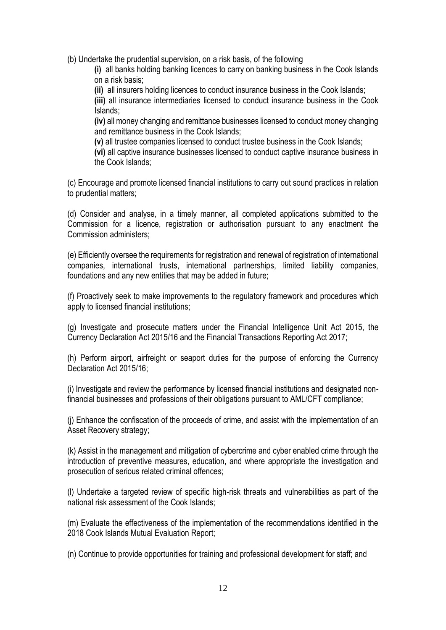(b) Undertake the prudential supervision, on a risk basis, of the following

**(i)** all banks holding banking licences to carry on banking business in the Cook Islands on a risk basis;

**(ii)** all insurers holding licences to conduct insurance business in the Cook Islands;

**(iii)** all insurance intermediaries licensed to conduct insurance business in the Cook Islands;

**(iv)** all money changing and remittance businesses licensed to conduct money changing and remittance business in the Cook Islands;

**(v)** all trustee companies licensed to conduct trustee business in the Cook Islands;

**(vi)** all captive insurance businesses licensed to conduct captive insurance business in the Cook Islands;

(c) Encourage and promote licensed financial institutions to carry out sound practices in relation to prudential matters;

(d) Consider and analyse, in a timely manner, all completed applications submitted to the Commission for a licence, registration or authorisation pursuant to any enactment the Commission administers;

(e) Efficiently oversee the requirements for registration and renewal of registration of international companies, international trusts, international partnerships, limited liability companies, foundations and any new entities that may be added in future;

(f) Proactively seek to make improvements to the regulatory framework and procedures which apply to licensed financial institutions;

(g) Investigate and prosecute matters under the Financial Intelligence Unit Act 2015, the Currency Declaration Act 2015/16 and the Financial Transactions Reporting Act 2017;

(h) Perform airport, airfreight or seaport duties for the purpose of enforcing the Currency Declaration Act 2015/16;

(i) Investigate and review the performance by licensed financial institutions and designated nonfinancial businesses and professions of their obligations pursuant to AML/CFT compliance;

(j) Enhance the confiscation of the proceeds of crime, and assist with the implementation of an Asset Recovery strategy;

(k) Assist in the management and mitigation of cybercrime and cyber enabled crime through the introduction of preventive measures, education, and where appropriate the investigation and prosecution of serious related criminal offences;

(l) Undertake a targeted review of specific high-risk threats and vulnerabilities as part of the national risk assessment of the Cook Islands;

(m) Evaluate the effectiveness of the implementation of the recommendations identified in the 2018 Cook Islands Mutual Evaluation Report;

(n) Continue to provide opportunities for training and professional development for staff; and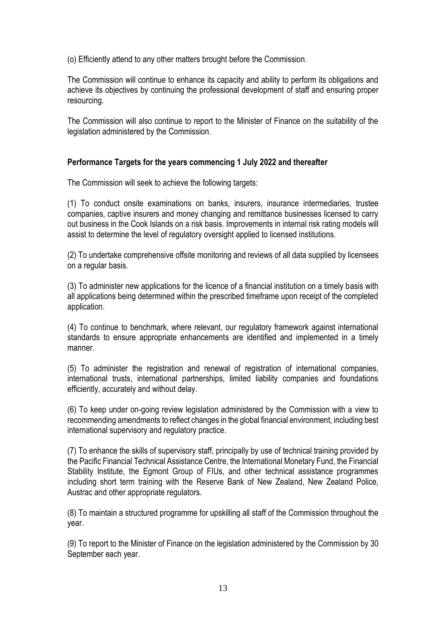(o) Efficiently attend to any other matters brought before the Commission.

The Commission will continue to enhance its capacity and ability to perform its obligations and achieve its objectives by continuing the professional development of staff and ensuring proper resourcing.

The Commission will also continue to report to the Minister of Finance on the suitability of the legislation administered by the Commission.

#### **Performance Targets for the years commencing 1 July 2022 and thereafter**

The Commission will seek to achieve the following targets:

(1) To conduct onsite examinations on banks, insurers, insurance intermediaries, trustee companies, captive insurers and money changing and remittance businesses licensed to carry out business in the Cook Islands on a risk basis. Improvements in internal risk rating models will assist to determine the level of regulatory oversight applied to licensed institutions.

(2) To undertake comprehensive offsite monitoring and reviews of all data supplied by licensees on a regular basis.

(3) To administer new applications for the licence of a financial institution on a timely basis with all applications being determined within the prescribed timeframe upon receipt of the completed application.

(4) To continue to benchmark, where relevant, our regulatory framework against international standards to ensure appropriate enhancements are identified and implemented in a timely manner.

(5) To administer the registration and renewal of registration of international companies, international trusts, international partnerships, limited liability companies and foundations efficiently, accurately and without delay.

(6) To keep under on-going review legislation administered by the Commission with a view to recommending amendments to reflect changes in the global financial environment, including best international supervisory and regulatory practice.

(7) To enhance the skills of supervisory staff, principally by use of technical training provided by the Pacific Financial Technical Assistance Centre, the International Monetary Fund, the Financial Stability Institute, the Egmont Group of FIUs, and other technical assistance programmes including short term training with the Reserve Bank of New Zealand, New Zealand Police, Austrac and other appropriate regulators.

(8) To maintain a structured programme for upskilling all staff of the Commission throughout the year.

(9) To report to the Minister of Finance on the legislation administered by the Commission by 30 September each year.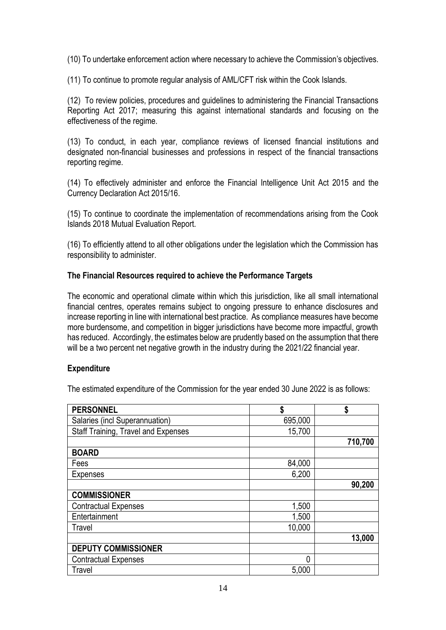(10) To undertake enforcement action where necessary to achieve the Commission's objectives.

(11) To continue to promote regular analysis of AML/CFT risk within the Cook Islands.

(12) To review policies, procedures and guidelines to administering the Financial Transactions Reporting Act 2017; measuring this against international standards and focusing on the effectiveness of the regime.

(13) To conduct, in each year, compliance reviews of licensed financial institutions and designated non-financial businesses and professions in respect of the financial transactions reporting regime.

(14) To effectively administer and enforce the Financial Intelligence Unit Act 2015 and the Currency Declaration Act 2015/16.

(15) To continue to coordinate the implementation of recommendations arising from the Cook Islands 2018 Mutual Evaluation Report.

(16) To efficiently attend to all other obligations under the legislation which the Commission has responsibility to administer.

#### **The Financial Resources required to achieve the Performance Targets**

The economic and operational climate within which this jurisdiction, like all small international financial centres, operates remains subject to ongoing pressure to enhance disclosures and increase reporting in line with international best practice. As compliance measures have become more burdensome, and competition in bigger jurisdictions have become more impactful, growth has reduced. Accordingly, the estimates below are prudently based on the assumption that there will be a two percent net negative growth in the industry during the 2021/22 financial year.

#### **Expenditure**

The estimated expenditure of the Commission for the year ended 30 June 2022 is as follows:

| <b>PERSONNEL</b>                    | \$      | \$      |
|-------------------------------------|---------|---------|
|                                     |         |         |
| Salaries (incl Superannuation)      | 695,000 |         |
| Staff Training, Travel and Expenses | 15,700  |         |
|                                     |         | 710,700 |
| <b>BOARD</b>                        |         |         |
| Fees                                | 84,000  |         |
| <b>Expenses</b>                     | 6,200   |         |
|                                     |         | 90,200  |
| <b>COMMISSIONER</b>                 |         |         |
| <b>Contractual Expenses</b>         | 1,500   |         |
| Entertainment                       | 1,500   |         |
| Travel                              | 10,000  |         |
|                                     |         | 13,000  |
| <b>DEPUTY COMMISSIONER</b>          |         |         |
| <b>Contractual Expenses</b>         | 0       |         |
| Travel                              | 5,000   |         |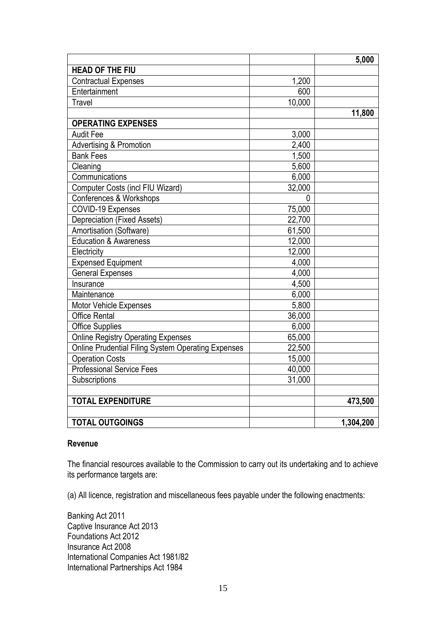|                                                    |          | 5,000     |
|----------------------------------------------------|----------|-----------|
| <b>HEAD OF THE FIU</b>                             |          |           |
| <b>Contractual Expenses</b>                        | 1,200    |           |
| Entertainment                                      | 600      |           |
| Travel                                             | 10,000   |           |
|                                                    |          | 11,800    |
| <b>OPERATING EXPENSES</b>                          |          |           |
| <b>Audit Fee</b>                                   | 3,000    |           |
| <b>Advertising &amp; Promotion</b>                 | 2,400    |           |
| <b>Bank Fees</b>                                   | 1,500    |           |
| Cleaning                                           | 5,600    |           |
| Communications                                     | 6,000    |           |
| Computer Costs (incl FIU Wizard)                   | 32,000   |           |
| Conferences & Workshops                            | $\Omega$ |           |
| COVID-19 Expenses                                  | 75,000   |           |
| Depreciation (Fixed Assets)                        | 22,700   |           |
| Amortisation (Software)                            | 61,500   |           |
| <b>Education &amp; Awareness</b>                   | 12,000   |           |
| Electricity                                        | 12,000   |           |
| <b>Expensed Equipment</b>                          | 4,000    |           |
| <b>General Expenses</b>                            | 4,000    |           |
| Insurance                                          | 4,500    |           |
| Maintenance                                        | 6,000    |           |
| <b>Motor Vehicle Expenses</b>                      | 5,800    |           |
| <b>Office Rental</b>                               | 36,000   |           |
| <b>Office Supplies</b>                             | 6,000    |           |
| <b>Online Registry Operating Expenses</b>          | 65,000   |           |
| Online Prudential Filing System Operating Expenses | 22,500   |           |
| <b>Operation Costs</b>                             | 15,000   |           |
| <b>Professional Service Fees</b>                   | 40,000   |           |
| Subscriptions                                      | 31,000   |           |
|                                                    |          |           |
| <b>TOTAL EXPENDITURE</b>                           |          | 473,500   |
|                                                    |          |           |
| <b>TOTAL OUTGOINGS</b>                             |          | 1,304,200 |

#### **Revenue**

The financial resources available to the Commission to carry out its undertaking and to achieve its performance targets are:

(a) All licence, registration and miscellaneous fees payable under the following enactments:

Banking Act 2011 Captive Insurance Act 2013 Foundations Act 2012 Insurance Act 2008 International Companies Act 1981/82 International Partnerships Act 1984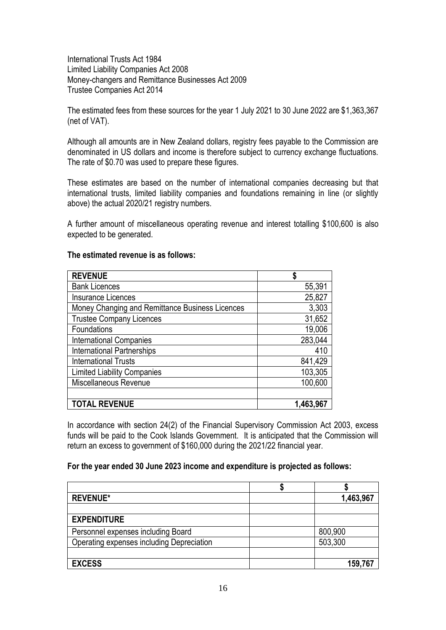International Trusts Act 1984 Limited Liability Companies Act 2008 Money-changers and Remittance Businesses Act 2009 Trustee Companies Act 2014

The estimated fees from these sources for the year 1 July 2021 to 30 June 2022 are \$1,363,367 (net of VAT).

Although all amounts are in New Zealand dollars, registry fees payable to the Commission are denominated in US dollars and income is therefore subject to currency exchange fluctuations. The rate of \$0.70 was used to prepare these figures.

These estimates are based on the number of international companies decreasing but that international trusts, limited liability companies and foundations remaining in line (or slightly above) the actual 2020/21 registry numbers.

A further amount of miscellaneous operating revenue and interest totalling \$100,600 is also expected to be generated.

#### **The estimated revenue is as follows:**

| <b>REVENUE</b>                                  |           |
|-------------------------------------------------|-----------|
| <b>Bank Licences</b>                            | 55,391    |
| <b>Insurance Licences</b>                       | 25,827    |
| Money Changing and Remittance Business Licences | 3,303     |
| <b>Trustee Company Licences</b>                 | 31,652    |
| Foundations                                     | 19,006    |
| <b>International Companies</b>                  | 283,044   |
| <b>International Partnerships</b>               | 410       |
| <b>International Trusts</b>                     | 841,429   |
| <b>Limited Liability Companies</b>              | 103,305   |
| Miscellaneous Revenue                           | 100,600   |
|                                                 |           |
| <b>TOTAL REVENUE</b>                            | 1,463,967 |

In accordance with section 24(2) of the Financial Supervisory Commission Act 2003, excess funds will be paid to the Cook Islands Government. It is anticipated that the Commission will return an excess to government of \$160,000 during the 2021/22 financial year.

#### **For the year ended 30 June 2023 income and expenditure is projected as follows:**

| <b>REVENUE*</b>                           | 1,463,967 |
|-------------------------------------------|-----------|
|                                           |           |
| <b>EXPENDITURE</b>                        |           |
| Personnel expenses including Board        | 800,900   |
| Operating expenses including Depreciation | 503,300   |
|                                           |           |
| <b>EXCESS</b>                             | 159,767   |